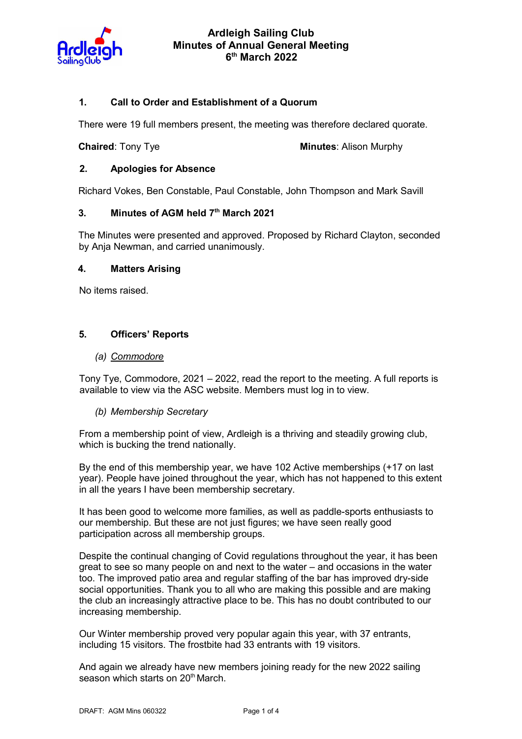

## 1. Call to Order and Establishment of a Quorum

There were 19 full members present, the meeting was therefore declared quorate.

**Chaired:** Tony Tye **Minutes:** Alison Murphy

### 2. Apologies for Absence

Richard Vokes, Ben Constable, Paul Constable, John Thompson and Mark Savill

#### 3. Minutes of AGM held  $7<sup>th</sup>$  March 2021

The Minutes were presented and approved. Proposed by Richard Clayton, seconded by Anja Newman, and carried unanimously.

#### 4. Matters Arising

No items raised.

### 5. Officers' Reports

#### (a) Commodore

Tony Tye, Commodore, 2021 – 2022, read the report to the meeting. A full reports is available to view via the ASC website. Members must log in to view.

### (b) Membership Secretary

From a membership point of view, Ardleigh is a thriving and steadily growing club, which is bucking the trend nationally.

By the end of this membership year, we have 102 Active memberships (+17 on last year). People have joined throughout the year, which has not happened to this extent in all the years I have been membership secretary.

It has been good to welcome more families, as well as paddle-sports enthusiasts to our membership. But these are not just figures; we have seen really good participation across all membership groups.

Despite the continual changing of Covid regulations throughout the year, it has been great to see so many people on and next to the water – and occasions in the water too. The improved patio area and regular staffing of the bar has improved dry-side social opportunities. Thank you to all who are making this possible and are making the club an increasingly attractive place to be. This has no doubt contributed to our increasing membership.

Our Winter membership proved very popular again this year, with 37 entrants, including 15 visitors. The frostbite had 33 entrants with 19 visitors.

And again we already have new members joining ready for the new 2022 sailing season which starts on 20<sup>th</sup> March.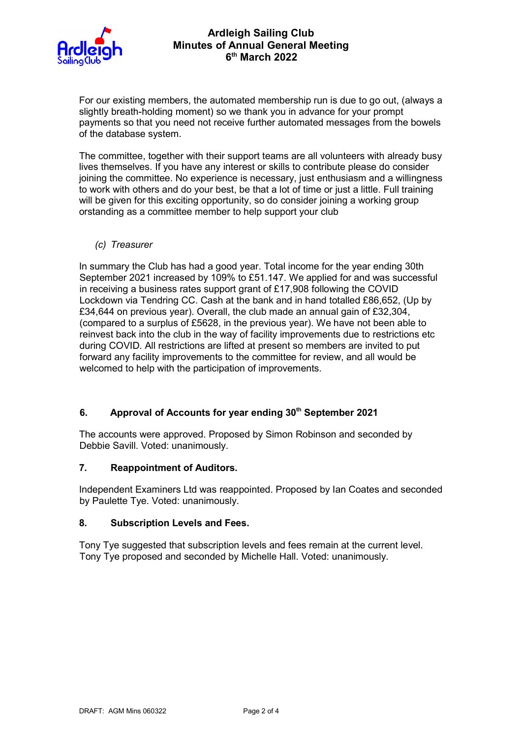

# Ardleigh Sailing Club Minutes of Annual General Meeting 6 th March 2022

For our existing members, the automated membership run is due to go out, (always a slightly breath-holding moment) so we thank you in advance for your prompt payments so that you need not receive further automated messages from the bowels of the database system.

The committee, together with their support teams are all volunteers with already busy lives themselves. If you have any interest or skills to contribute please do consider joining the committee. No experience is necessary, just enthusiasm and a willingness to work with others and do your best, be that a lot of time or just a little. Full training will be given for this exciting opportunity, so do consider joining a working group orstanding as a committee member to help support your club

(c) Treasurer

In summary the Club has had a good year. Total income for the year ending 30th September 2021 increased by 109% to £51.147. We applied for and was successful in receiving a business rates support grant of £17,908 following the COVID Lockdown via Tendring CC. Cash at the bank and in hand totalled £86,652, (Up by £34,644 on previous year). Overall, the club made an annual gain of £32,304, (compared to a surplus of £5628, in the previous year). We have not been able to reinvest back into the club in the way of facility improvements due to restrictions etc during COVID. All restrictions are lifted at present so members are invited to put forward any facility improvements to the committee for review, and all would be welcomed to help with the participation of improvements.

# 6. Approval of Accounts for year ending 30<sup>th</sup> September 2021

The accounts were approved. Proposed by Simon Robinson and seconded by Debbie Savill. Voted: unanimously.

# 7. Reappointment of Auditors.

Independent Examiners Ltd was reappointed. Proposed by Ian Coates and seconded by Paulette Tye. Voted: unanimously.

### 8. Subscription Levels and Fees.

Tony Tye suggested that subscription levels and fees remain at the current level. Tony Tye proposed and seconded by Michelle Hall. Voted: unanimously.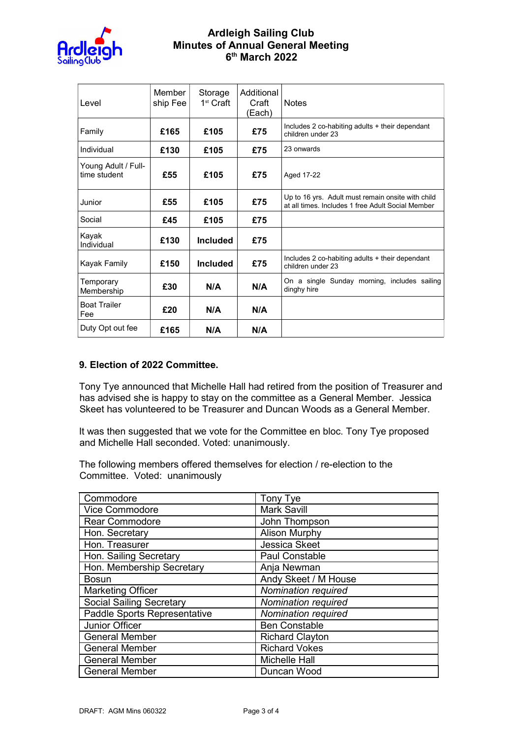

# Ardleigh Sailing Club Minutes of Annual General Meeting 6 th March 2022

| Level                               | Member<br>ship Fee | Storage<br>1 <sup>st</sup> Craft | Additional<br>Craft<br>(Each) | <b>Notes</b>                                                                                           |
|-------------------------------------|--------------------|----------------------------------|-------------------------------|--------------------------------------------------------------------------------------------------------|
| Family                              | £165               | £105                             | £75                           | Includes 2 co-habiting adults + their dependant<br>children under 23                                   |
| Individual                          | £130               | £105                             | £75                           | 23 onwards                                                                                             |
| Young Adult / Full-<br>time student | £55                | £105                             | £75                           | Aged 17-22                                                                                             |
| Junior                              | £55                | £105                             | £75                           | Up to 16 yrs. Adult must remain onsite with child<br>at all times. Includes 1 free Adult Social Member |
| Social                              | £45                | £105                             | £75                           |                                                                                                        |
| Kayak<br>Individual                 | £130               | <b>Included</b>                  | £75                           |                                                                                                        |
| Kayak Family                        | £150               | <b>Included</b>                  | £75                           | Includes 2 co-habiting adults + their dependant<br>children under 23                                   |
| Temporary<br>Membership             | £30                | N/A                              | N/A                           | On a single Sunday morning, includes sailing<br>dinghy hire                                            |
| <b>Boat Trailer</b><br>Fee          | £20                | N/A                              | N/A                           |                                                                                                        |
| Duty Opt out fee                    | £165               | N/A                              | N/A                           |                                                                                                        |

### 9. Election of 2022 Committee.

Tony Tye announced that Michelle Hall had retired from the position of Treasurer and has advised she is happy to stay on the committee as a General Member. Jessica Skeet has volunteered to be Treasurer and Duncan Woods as a General Member.

It was then suggested that we vote for the Committee en bloc. Tony Tye proposed and Michelle Hall seconded. Voted: unanimously.

The following members offered themselves for election / re-election to the Committee. Voted: unanimously

| Commodore                       | Tony Tye               |  |
|---------------------------------|------------------------|--|
| Vice Commodore                  | <b>Mark Savill</b>     |  |
| <b>Rear Commodore</b>           | John Thompson          |  |
| Hon. Secretary                  | <b>Alison Murphy</b>   |  |
| Hon. Treasurer                  | <b>Jessica Skeet</b>   |  |
| Hon. Sailing Secretary          | <b>Paul Constable</b>  |  |
| Hon. Membership Secretary       | Anja Newman            |  |
| <b>Bosun</b>                    | Andy Skeet / M House   |  |
| <b>Marketing Officer</b>        | Nomination required    |  |
| <b>Social Sailing Secretary</b> | Nomination required    |  |
| Paddle Sports Representative    | Nomination required    |  |
| Junior Officer                  | <b>Ben Constable</b>   |  |
| <b>General Member</b>           | <b>Richard Clayton</b> |  |
| <b>General Member</b>           | <b>Richard Vokes</b>   |  |
| <b>General Member</b>           | <b>Michelle Hall</b>   |  |
| <b>General Member</b>           | Duncan Wood            |  |